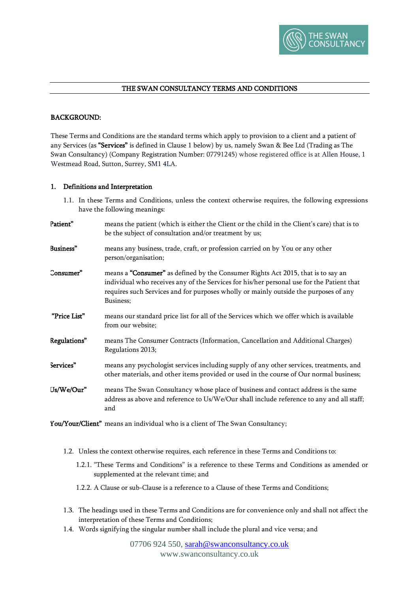

# THE SWAN CONSULTANCY TERMS AND CONDITIONS

# BACKGROUND:

These Terms and Conditions are the standard terms which apply to provision to a client and a patient of any Services (as "Services" is defined in Clause 1 below) by us, namely Swan & Bee Ltd (Trading as The Swan Consultancy) (Company Registration Number: 07791245) whose registered office is at Allen House, 1 Westmead Road, Sutton, Surrey, SM1 4LA.

#### 1. Definitions and Interpretation

- 1.1. In these Terms and Conditions, unless the context otherwise requires, the following expressions have the following meanings:
- Patient" means the patient (which is either the Client or the child in the Client's care) that is to be the subject of consultation and/or treatment by us; Business" means any business, trade, craft, or profession carried on by You or any other person/organisation; Consumer" means a "Consumer" as defined by the Consumer Rights Act 2015, that is to say an individual who receives any of the Services for his/her personal use for the Patient that requires such Services and for purposes wholly or mainly outside the purposes of any Business; "Price List" means our standard price list for all of the Services which we offer which is available from our website; Regulations" means The Consumer Contracts (Information, Cancellation and Additional Charges) Regulations 2013; Services" means any psychologist services including supply of any other services, treatments, and other materials, and other items provided or used in the course of Our normal business; Us/We/Our" means The Swan Consultancy whose place of business and contact address is the same address as above and reference to Us/We/Our shall include reference to any and all staff; and

You/Your/Client" means an individual who is a client of The Swan Consultancy;

- 1.2. Unless the context otherwise requires, each reference in these Terms and Conditions to:
	- 1.2.1. "These Terms and Conditions" is a reference to these Terms and Conditions as amended or supplemented at the relevant time; and
	- 1.2.2. A Clause or sub-Clause is a reference to a Clause of these Terms and Conditions;
- 1.3. The headings used in these Terms and Conditions are for convenience only and shall not affect the interpretation of these Terms and Conditions;
- 1.4. Words signifying the singular number shall include the plural and vice versa; and

07706 924 550, [sarah@swanconsultancy.co.uk](mailto:sarah@swanconsultancy.co.uk) www.swanconsultancy.co.uk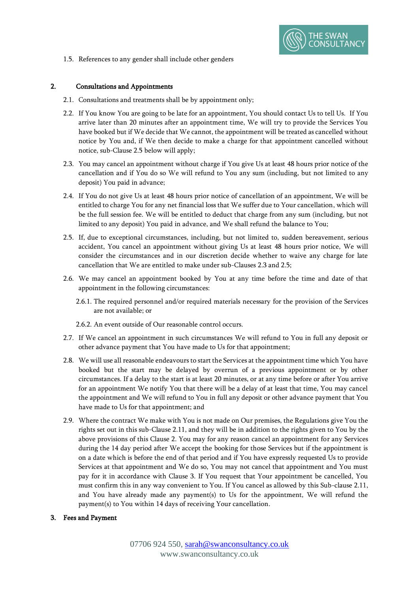

1.5. References to any gender shall include other genders

# 2. Consultations and Appointments

- 2.1. Consultations and treatments shall be by appointment only;
- 2.2. If You know You are going to be late for an appointment, You should contact Us to tell Us. If You arrive later than 20 minutes after an appointment time, We will try to provide the Services You have booked but if We decide that We cannot, the appointment will be treated as cancelled without notice by You and, if We then decide to make a charge for that appointment cancelled without notice, sub-Clause 2.5 below will apply;
- 2.3. You may cancel an appointment without charge if You give Us at least 48 hours prior notice of the cancellation and if You do so We will refund to You any sum (including, but not limited to any deposit) You paid in advance;
- 2.4. If You do not give Us at least 48 hours prior notice of cancellation of an appointment, We will be entitled to charge You for any net financial loss that We suffer due to Your cancellation, which will be the full session fee. We will be entitled to deduct that charge from any sum (including, but not limited to any deposit) You paid in advance, and We shall refund the balance to You;
- 2.5. If, due to exceptional circumstances, including, but not limited to, sudden bereavement, serious accident, You cancel an appointment without giving Us at least 48 hours prior notice, We will consider the circumstances and in our discretion decide whether to waive any charge for late cancellation that We are entitled to make under sub-Clauses 2.3 and 2.5;
- 2.6. We may cancel an appointment booked by You at any time before the time and date of that appointment in the following circumstances:
	- 2.6.1. The required personnel and/or required materials necessary for the provision of the Services are not available; or
	- 2.6.2. An event outside of Our reasonable control occurs.
- 2.7. If We cancel an appointment in such circumstances We will refund to You in full any deposit or other advance payment that You have made to Us for that appointment;
- 2.8. We will use all reasonable endeavours to start the Services at the appointment time which You have booked but the start may be delayed by overrun of a previous appointment or by other circumstances. If a delay to the start is at least 20 minutes, or at any time before or after You arrive for an appointment We notify You that there will be a delay of at least that time, You may cancel the appointment and We will refund to You in full any deposit or other advance payment that You have made to Us for that appointment; and
- 2.9. Where the contract We make with You is not made on Our premises, the Regulations give You the rights set out in this sub-Clause 2.11, and they will be in addition to the rights given to You by the above provisions of this Clause 2. You may for any reason cancel an appointment for any Services during the 14 day period after We accept the booking for those Services but if the appointment is on a date which is before the end of that period and if You have expressly requested Us to provide Services at that appointment and We do so, You may not cancel that appointment and You must pay for it in accordance with Clause 3. If You request that Your appointment be cancelled, You must confirm this in any way convenient to You. If You cancel as allowed by this Sub-clause 2.11, and You have already made any payment(s) to Us for the appointment, We will refund the payment(s) to You within 14 days of receiving Your cancellation.

# 3. Fees and Payment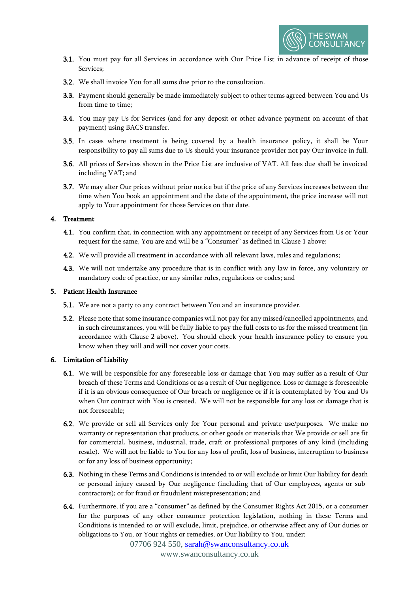

- 3.1. You must pay for all Services in accordance with Our Price List in advance of receipt of those Services;
- 3.2. We shall invoice You for all sums due prior to the consultation.
- 3.3. Payment should generally be made immediately subject to other terms agreed between You and Us from time to time;
- 3.4. You may pay Us for Services (and for any deposit or other advance payment on account of that payment) using BACS transfer.
- 3.5. In cases where treatment is being covered by a health insurance policy, it shall be Your responsibility to pay all sums due to Us should your insurance provider not pay Our invoice in full.
- 3.6. All prices of Services shown in the Price List are inclusive of VAT. All fees due shall be invoiced including VAT; and
- 3.7. We may alter Our prices without prior notice but if the price of any Services increases between the time when You book an appointment and the date of the appointment, the price increase will not apply to Your appointment for those Services on that date.

## 4. Treatment

- 4.1. You confirm that, in connection with any appointment or receipt of any Services from Us or Your request for the same, You are and will be a "Consumer" as defined in Clause 1 above;
- 4.2. We will provide all treatment in accordance with all relevant laws, rules and regulations;
- 4.3. We will not undertake any procedure that is in conflict with any law in force, any voluntary or mandatory code of practice, or any similar rules, regulations or codes; and

## 5. Patient Health Insurance

- 5.1. We are not a party to any contract between You and an insurance provider.
- 5.2. Please note that some insurance companies will not pay for any missed/cancelled appointments, and in such circumstances, you will be fully liable to pay the full costs to us for the missed treatment (in accordance with Clause 2 above). You should check your health insurance policy to ensure you know when they will and will not cover your costs.

#### 6. Limitation of Liability

- 6.1. We will be responsible for any foreseeable loss or damage that You may suffer as a result of Our breach of these Terms and Conditions or as a result of Our negligence. Loss or damage is foreseeable if it is an obvious consequence of Our breach or negligence or if it is contemplated by You and Us when Our contract with You is created. We will not be responsible for any loss or damage that is not foreseeable;
- 6.2. We provide or sell all Services only for Your personal and private use/purposes. We make no warranty or representation that products, or other goods or materials that We provide or sell are fit for commercial, business, industrial, trade, craft or professional purposes of any kind (including resale). We will not be liable to You for any loss of profit, loss of business, interruption to business or for any loss of business opportunity;
- 6.3. Nothing in these Terms and Conditions is intended to or will exclude or limit Our liability for death or personal injury caused by Our negligence (including that of Our employees, agents or subcontractors); or for fraud or fraudulent misrepresentation; and
- 6.4. Furthermore, if you are a "consumer" as defined by the Consumer Rights Act 2015, or a consumer for the purposes of any other consumer protection legislation, nothing in these Terms and Conditions is intended to or will exclude, limit, prejudice, or otherwise affect any of Our duties or obligations to You, or Your rights or remedies, or Our liability to You, under:

07706 924 550, [sarah@swanconsultancy.co.uk](mailto:sarah@swanconsultancy.co.uk)

www.swanconsultancy.co.uk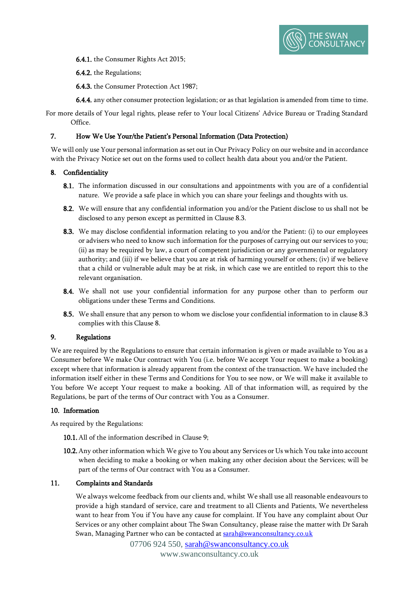

6.4.1. the Consumer Rights Act 2015;

6.4.2. the Regulations;

6.4.3. the Consumer Protection Act 1987;

6.4.4. any other consumer protection legislation; or as that legislation is amended from time to time.

For more details of Your legal rights, please refer to Your local Citizens' Advice Bureau or Trading Standard Office.

# 7. How We Use Your/the Patient's Personal Information (Data Protection)

We will only use Your personal information as set out in Our Privacy Policy on our website and in accordance with the Privacy Notice set out on the forms used to collect health data about you and/or the Patient.

# 8. Confidentiality

- 8.1. The information discussed in our consultations and appointments with you are of a confidential nature. We provide a safe place in which you can share your feelings and thoughts with us.
- 8.2. We will ensure that any confidential information you and/or the Patient disclose to us shall not be disclosed to any person except as permitted in Clause 8.3.
- 8.3. We may disclose confidential information relating to you and/or the Patient: (i) to our employees or advisers who need to know such information for the purposes of carrying out our services to you; (ii) as may be required by law, a court of competent jurisdiction or any governmental or regulatory authority; and (iii) if we believe that you are at risk of harming yourself or others; (iv) if we believe that a child or vulnerable adult may be at risk, in which case we are entitled to report this to the relevant organisation.
- 8.4. We shall not use your confidential information for any purpose other than to perform our obligations under these Terms and Conditions.
- 8.5. We shall ensure that any person to whom we disclose your confidential information to in clause 8.3 complies with this Clause 8.

# 9. Regulations

We are required by the Regulations to ensure that certain information is given or made available to You as a Consumer before We make Our contract with You (i.e. before We accept Your request to make a booking) except where that information is already apparent from the context of the transaction. We have included the information itself either in these Terms and Conditions for You to see now, or We will make it available to You before We accept Your request to make a booking. All of that information will, as required by the Regulations, be part of the terms of Our contract with You as a Consumer.

# 10. Information

As required by the Regulations:

10.1. All of the information described in Clause 9;

10.2. Any other information which We give to You about any Services or Us which You take into account when deciding to make a booking or when making any other decision about the Services; will be part of the terms of Our contract with You as a Consumer.

# 11. Complaints and Standards

We always welcome feedback from our clients and, whilst We shall use all reasonable endeavours to provide a high standard of service, care and treatment to all Clients and Patients, We nevertheless want to hear from You if You have any cause for complaint. If You have any complaint about Our Services or any other complaint about The Swan Consultancy, please raise the matter with Dr Sarah Swan, Managing Partner who can be contacted at [sarah@swanconsultancy.co.uk](mailto:sarah@swanconsultancy.co.uk)

> 07706 924 550, [sarah@swanconsultancy.co.uk](mailto:sarah@swanconsultancy.co.uk) www.swanconsultancy.co.uk